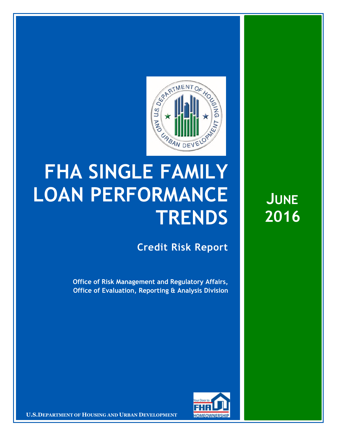

## **FHA SINGLE FAMILY LOAN PERFORMANCE TRENDS**

**Credit Risk Report**

**Office of Risk Management and Regulatory Affairs, Office of Evaluation, Reporting & Analysis Division** 



**U.S.DEPARTMENT OF HOUSING AND URBAN DEVELOPMENT <b>FOMEOWNERSHIP** 

**JUNE 2016**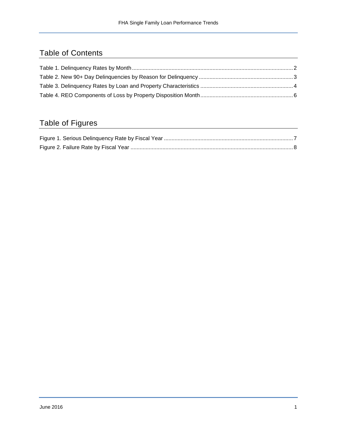## Table of Contents

## Table of Figures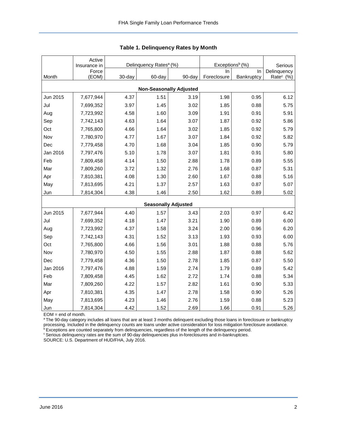<span id="page-2-0"></span>

|                                | Active<br>Insurance in |        | Delinquency Rates <sup>a</sup> (%) |        | Exceptions <sup>b</sup> (%) | Serious    |                       |  |  |  |
|--------------------------------|------------------------|--------|------------------------------------|--------|-----------------------------|------------|-----------------------|--|--|--|
|                                | Force                  |        |                                    |        | In.                         | In         | Delinquency           |  |  |  |
| Month                          | (EOM)                  | 30-day | 60-day                             | 90-day | Foreclosure                 | Bankruptcy | Rate <sup>c</sup> (%) |  |  |  |
| <b>Non-Seasonally Adjusted</b> |                        |        |                                    |        |                             |            |                       |  |  |  |
| Jun 2015                       | 7,677,944              | 4.37   | 1.51                               | 3.19   | 1.98                        | 0.95       | 6.12                  |  |  |  |
| Jul                            | 7,699,352              | 3.97   | 1.45                               | 3.02   | 1.85                        | 0.88       | 5.75                  |  |  |  |
| Aug                            | 7,723,992              | 4.58   | 1.60                               | 3.09   | 1.91                        | 0.91       | 5.91                  |  |  |  |
| Sep                            | 7,742,143              | 4.63   | 1.64                               | 3.07   | 1.87                        | 0.92       | 5.86                  |  |  |  |
| Oct                            | 7,765,800              | 4.66   | 1.64                               | 3.02   | 1.85                        | 0.92       | 5.79                  |  |  |  |
| Nov                            | 7,780,970              | 4.77   | 1.67                               | 3.07   | 1.84                        | 0.92       | 5.82                  |  |  |  |
| Dec                            | 7,779,458              | 4.70   | 1.68                               | 3.04   | 1.85                        | 0.90       | 5.79                  |  |  |  |
| Jan 2016                       | 7,797,476              | 5.10   | 1.78                               | 3.07   | 1.81                        | 0.91       | 5.80                  |  |  |  |
| Feb                            | 7,809,458              | 4.14   | 1.50                               | 2.88   | 1.78                        | 0.89       | 5.55                  |  |  |  |
| Mar                            | 7,809,260              | 3.72   | 1.32                               | 2.76   | 1.68                        | 0.87       | 5.31                  |  |  |  |
| Apr                            | 7,810,381              | 4.08   | 1.30                               | 2.60   | 1.67                        | 0.88       | 5.16                  |  |  |  |
| May                            | 7,813,695              | 4.21   | 1.37                               | 2.57   | 1.63                        | 0.87       | 5.07                  |  |  |  |
| Jun                            | 7,814,304              | 4.38   | 1.46                               | 2.50   | 1.62                        | 0.89       | 5.02                  |  |  |  |
|                                |                        |        | <b>Seasonally Adjusted</b>         |        |                             |            |                       |  |  |  |
| Jun 2015                       | 7,677,944              | 4.40   | 1.57                               | 3.43   | 2.03                        | 0.97       | 6.42                  |  |  |  |
| Jul                            | 7,699,352              | 4.18   | 1.47                               | 3.21   | 1.90                        | 0.89       | 6.00                  |  |  |  |
| Aug                            | 7,723,992              | 4.37   | 1.58                               | 3.24   | 2.00                        | 0.96       | 6.20                  |  |  |  |
| Sep                            | 7,742,143              | 4.31   | 1.52                               | 3.13   | 1.93                        | 0.93       | 6.00                  |  |  |  |
| Oct                            | 7,765,800              | 4.66   | 1.56                               | 3.01   | 1.88                        | 0.88       | 5.76                  |  |  |  |
| Nov                            | 7,780,970              | 4.50   | 1.55                               | 2.88   | 1.87                        | 0.88       | 5.62                  |  |  |  |
| Dec                            | 7,779,458              | 4.36   | 1.50                               | 2.78   | 1.85                        | 0.87       | 5.50                  |  |  |  |
| Jan 2016                       | 7,797,476              | 4.88   | 1.59                               | 2.74   | 1.79                        | 0.89       | 5.42                  |  |  |  |
| Feb                            | 7,809,458              | 4.45   | 1.62                               | 2.72   | 1.74                        | 0.88       | 5.34                  |  |  |  |
| Mar                            | 7,809,260              | 4.22   | 1.57                               | 2.82   | 1.61                        | 0.90       | 5.33                  |  |  |  |
| Apr                            | 7,810,381              | 4.35   | 1.47                               | 2.78   | 1.58                        | 0.90       | 5.26                  |  |  |  |
| May                            | 7,813,695              | 4.23   | 1.46                               | 2.76   | 1.59                        | 0.88       | 5.23                  |  |  |  |
| Jun                            | 7,814,304              | 4.42   | 1.52                               | 2.69   | 1.66                        | 0.91       | 5.26                  |  |  |  |

<span id="page-2-1"></span>

EOM = end of month.

<sup>a</sup>The 90-day category includes all loans that are at least 3 months delinquent excluding those loans in foreclosure or bankruptcy processing. Included in the delinquency counts are loans under active consideration for loss mitigation foreclosure avoidance.

<sup>b</sup> Exceptions are counted separately from delinquencies, regardless of the length of the delinquency period.

<sup>c</sup> Serious delinquency rates are the sum of 90-day delinquencies plus in-foreclosures and in-bankruptcies.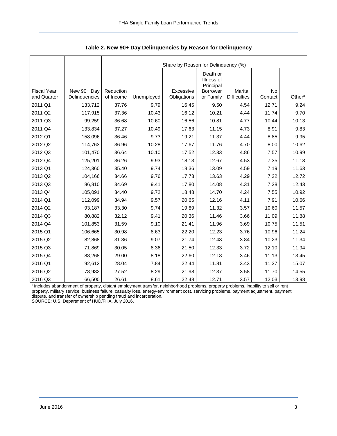<span id="page-3-0"></span>

|                                   |                              | Share by Reason for Delinquency (%) |            |                          |                                     |                                       |               |                    |  |  |  |
|-----------------------------------|------------------------------|-------------------------------------|------------|--------------------------|-------------------------------------|---------------------------------------|---------------|--------------------|--|--|--|
|                                   |                              |                                     |            |                          | Death or<br>Illness of<br>Principal |                                       |               |                    |  |  |  |
| <b>Fiscal Year</b><br>and Quarter | New 90+ Day<br>Delinquencies | Reduction<br>of Income              | Unemployed | Excessive<br>Obligations | <b>Borrower</b><br>or Family        | <b>Marital</b><br><b>Difficulties</b> | No<br>Contact | Other <sup>a</sup> |  |  |  |
| 2011 Q1                           | 133,712                      | 37.76                               | 9.79       | 16.45                    | 9.50                                | 4.54                                  | 12.71         | 9.24               |  |  |  |
| 2011 Q2                           | 117,915                      | 37.36                               | 10.43      | 16.12                    | 10.21                               | 4.44                                  | 11.74         | 9.70               |  |  |  |
| 2011 Q3                           | 99,259                       | 36.68                               | 10.60      | 16.56                    | 10.81                               | 4.77                                  | 10.44         | 10.13              |  |  |  |
| 2011 Q4                           | 133,834                      | 37.27                               | 10.49      | 17.63                    | 11.15                               | 4.73                                  | 8.91          | 9.83               |  |  |  |
| 2012 Q1                           | 158,096                      | 36.46                               | 9.73       | 19.21                    | 11.37                               | 4.44                                  | 8.85          | 9.95               |  |  |  |
| 2012 Q2                           | 114,763                      | 36.96                               | 10.28      | 17.67                    | 11.76                               | 4.70                                  | 8.00          | 10.62              |  |  |  |
| 2012 Q3                           | 101,470                      | 36.64                               | 10.10      | 17.52                    | 12.33                               | 4.86                                  | 7.57          | 10.99              |  |  |  |
| 2012 Q4                           | 125,201                      | 36.26                               | 9.93       | 18.13                    | 12.67                               | 4.53                                  | 7.35          | 11.13              |  |  |  |
| 2013 Q1                           | 124,360                      | 35.40                               | 9.74       | 18.36                    | 13.09                               | 4.59                                  | 7.19          | 11.63              |  |  |  |
| 2013 Q2                           | 104,166                      | 34.66                               | 9.76       | 17.73                    | 13.63                               | 4.29                                  | 7.22          | 12.72              |  |  |  |
| 2013 Q3                           | 86,810                       | 34.69                               | 9.41       | 17.80                    | 14.08                               | 4.31                                  | 7.28          | 12.43              |  |  |  |
| 2013 Q4                           | 105,091                      | 34.40                               | 9.72       | 18.48                    | 14.70                               | 4.24                                  | 7.55          | 10.92              |  |  |  |
| 2014 Q1                           | 112,099                      | 34.94                               | 9.57       | 20.65                    | 12.16                               | 4.11                                  | 7.91          | 10.66              |  |  |  |
| 2014 Q2                           | 93,187                       | 33.30                               | 9.74       | 19.89                    | 11.32                               | 3.57                                  | 10.60         | 11.57              |  |  |  |
| 2014 Q3                           | 80,882                       | 32.12                               | 9.41       | 20.36                    | 11.46                               | 3.66                                  | 11.09         | 11.88              |  |  |  |
| 2014 Q4                           | 101,853                      | 31.59                               | 9.10       | 21.41                    | 11.96                               | 3.69                                  | 10.75         | 11.51              |  |  |  |
| 2015 Q1                           | 106,665                      | 30.98                               | 8.63       | 22.20                    | 12.23                               | 3.76                                  | 10.96         | 11.24              |  |  |  |
| 2015 Q2                           | 82,868                       | 31.36                               | 9.07       | 21.74                    | 12.43                               | 3.84                                  | 10.23         | 11.34              |  |  |  |
| 2015 Q3                           | 71,869                       | 30.05                               | 8.36       | 21.50                    | 12.33                               | 3.72                                  | 12.10         | 11.94              |  |  |  |
| 2015 Q4                           | 88,268                       | 29.00                               | 8.18       | 22.60                    | 12.18                               | 3.46                                  | 11.13         | 13.45              |  |  |  |
| 2016 Q1                           | 92,612                       | 28.04                               | 7.84       | 22.44                    | 11.81                               | 3.43                                  | 11.37         | 15.07              |  |  |  |
| 2016 Q2                           | 78,982                       | 27.52                               | 8.29       | 21.98                    | 12.37                               | 3.58                                  | 11.70         | 14.55              |  |  |  |
| 2016 Q3                           | 66,500                       | 26.61                               | 8.61       | 22.48                    | 12.71                               | 3.57                                  | 12.03         | 13.98              |  |  |  |

<span id="page-3-1"></span>**Table 2. New 90+ Day Delinquencies by Reason for Delinquency** 

a Includes abandonment of property, distant employment transfer, neighborhood problems, property problems, inability to sell or rent property, military service, business failure, casualty loss, energy-environment cost, servicing problems, payment adjustment, payment dispute, and transfer of ownership pending fraud and incarceration. SOURCE: U.S. Department of HUD/FHA, July 2016.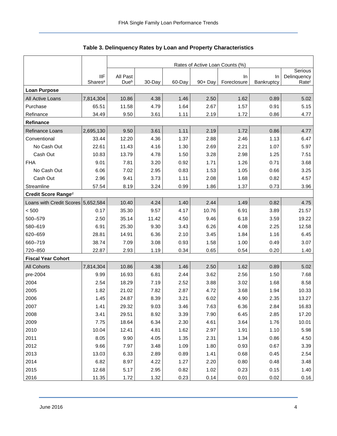<span id="page-4-0"></span>

|                                    |                     | Rates of Active Loan Counts (%)<br>Serious |        |        |            |             |            |                   |  |  |  |
|------------------------------------|---------------------|--------------------------------------------|--------|--------|------------|-------------|------------|-------------------|--|--|--|
|                                    | <b>IIF</b>          | All Past                                   |        |        |            | In          | In         | Delinquency       |  |  |  |
|                                    | Shares <sup>a</sup> | Due <sup>b</sup>                           | 30-Day | 60-Day | $90 + Day$ | Foreclosure | Bankruptcy | Rate <sup>c</sup> |  |  |  |
| <b>Loan Purpose</b>                |                     |                                            |        |        |            |             |            |                   |  |  |  |
| All Active Loans                   | 7,814,304           | 10.86                                      | 4.38   | 1.46   | 2.50       | 1.62        | 0.89       | 5.02              |  |  |  |
| Purchase                           | 65.51               | 11.58                                      | 4.79   | 1.64   | 2.67       | 1.57        | 0.91       | 5.15              |  |  |  |
| Refinance                          | 34.49               | 9.50                                       | 3.61   | 1.11   | 2.19       | 1.72        | 0.86       | 4.77              |  |  |  |
| <b>Refinance</b>                   |                     |                                            |        |        |            |             |            |                   |  |  |  |
| Refinance Loans                    | 2,695,130           | 9.50                                       | 3.61   | 1.11   | 2.19       | 1.72        | 0.86       | 4.77              |  |  |  |
| Conventional                       | 33.44               | 12.20                                      | 4.36   | 1.37   | 2.88       | 2.46        | 1.13       | 6.47              |  |  |  |
| No Cash Out                        | 22.61               | 11.43                                      | 4.16   | 1.30   | 2.69       | 2.21        | 1.07       | 5.97              |  |  |  |
| Cash Out                           | 10.83               | 13.79                                      | 4.78   | 1.50   | 3.28       | 2.98        | 1.25       | 7.51              |  |  |  |
| <b>FHA</b>                         | 9.01                | 7.81                                       | 3.20   | 0.92   | 1.71       | 1.26        | 0.71       | 3.68              |  |  |  |
| No Cash Out                        | 6.06                | 7.02                                       | 2.95   | 0.83   | 1.53       | 1.05        | 0.66       | 3.25              |  |  |  |
| Cash Out                           | 2.96                | 9.41                                       | 3.73   | 1.11   | 2.08       | 1.68        | 0.82       | 4.57              |  |  |  |
| Streamline                         | 57.54               | 8.19                                       | 3.24   | 0.99   | 1.86       | 1.37        | 0.73       | 3.96              |  |  |  |
| Credit Score Ranged                |                     |                                            |        |        |            |             |            |                   |  |  |  |
| Loans with Credit Scores 5,652,584 |                     | 10.40                                      | 4.24   | 1.40   | 2.44       | 1.49        | 0.82       | 4.75              |  |  |  |
| < 500                              | 0.17                | 35.30                                      | 9.57   | 4.17   | 10.76      | 6.91        | 3.89       | 21.57             |  |  |  |
| 500-579                            | 2.50                | 35.14                                      | 11.42  | 4.50   | 9.46       | 6.18        | 3.59       | 19.22             |  |  |  |
| 580-619                            | 6.91                | 25.30                                      | 9.30   | 3.43   | 6.26       | 4.08        | 2.25       | 12.58             |  |  |  |
| 620-659                            | 28.81               | 14.91                                      | 6.36   | 2.10   | 3.45       | 1.84        | 1.16       | 6.45              |  |  |  |
| 660-719                            | 38.74               | 7.09                                       | 3.08   | 0.93   | 1.58       | 1.00        | 0.49       | 3.07              |  |  |  |
| 720-850                            | 22.87               | 2.93                                       | 1.19   | 0.34   | 0.65       | 0.54        | 0.20       | 1.40              |  |  |  |
| <b>Fiscal Year Cohort</b>          |                     |                                            |        |        |            |             |            |                   |  |  |  |
| <b>All Cohorts</b>                 | 7,814,304           | 10.86                                      | 4.38   | 1.46   | 2.50       | 1.62        | 0.89       | 5.02              |  |  |  |
| pre-2004                           | 9.99                | 16.93                                      | 6.81   | 2.44   | 3.62       | 2.56        | 1.50       | 7.68              |  |  |  |
| 2004                               | 2.54                | 18.29                                      | 7.19   | 2.52   | 3.88       | 3.02        | 1.68       | 8.58              |  |  |  |
| 2005                               | 1.82                | 21.02                                      | 7.82   | 2.87   | 4.72       | 3.68        | 1.94       | 10.33             |  |  |  |
| 2006                               | 1.45                | 24.87                                      | 8.39   | 3.21   | 6.02       | 4.90        | 2.35       | 13.27             |  |  |  |
| 2007                               | 1.41                | 29.32                                      | 9.03   | 3.46   | 7.63       | 6.36        | 2.84       | 16.83             |  |  |  |
| 2008                               | 3.41                | 29.51                                      | 8.92   | 3.39   | 7.90       | 6.45        | 2.85       | 17.20             |  |  |  |
| 2009                               | 7.75                | 18.64                                      | 6.34   | 2.30   | 4.61       | 3.64        | 1.76       | 10.01             |  |  |  |
| 2010                               | 10.04               | 12.41                                      | 4.81   | 1.62   | 2.97       | 1.91        | 1.10       | 5.98              |  |  |  |
| 2011                               | 8.05                | 9.90                                       | 4.05   | 1.35   | 2.31       | 1.34        | 0.86       | 4.50              |  |  |  |
| 2012                               | 9.66                | 7.97                                       | 3.48   | 1.09   | 1.80       | 0.93        | 0.67       | 3.39              |  |  |  |
| 2013                               | 13.03               | 6.33                                       | 2.89   | 0.89   | 1.41       | 0.68        | 0.45       | 2.54              |  |  |  |
| 2014                               | 6.82                | 8.97                                       | 4.22   | 1.27   | 2.20       | 0.80        | 0.48       | 3.48              |  |  |  |
| 2015                               | 12.68               | 5.17                                       | 2.95   | 0.82   | 1.02       | 0.23        | 0.15       | 1.40              |  |  |  |
| 2016                               | 11.35               | 1.72                                       | 1.32   | 0.23   | 0.14       | 0.01        | 0.02       | 0.16              |  |  |  |

## <span id="page-4-1"></span>**Table 3. Delinquency Rates by Loan and Property Characteristics**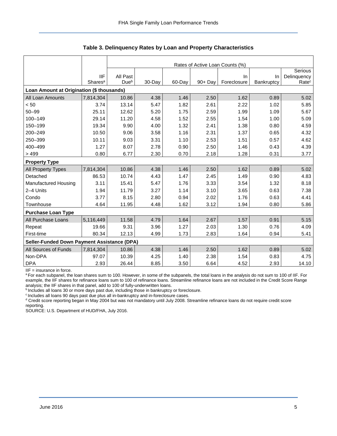|                                                    |                     | Rates of Active Loan Counts (%) |         |        |            |             |            |                   |  |  |  |  |
|----------------------------------------------------|---------------------|---------------------------------|---------|--------|------------|-------------|------------|-------------------|--|--|--|--|
|                                                    |                     |                                 | Serious |        |            |             |            |                   |  |  |  |  |
|                                                    | <b>IIF</b>          | All Past                        |         |        |            | In.         | <b>In</b>  | Delinquency       |  |  |  |  |
|                                                    | Shares <sup>a</sup> | Due <sup>b</sup>                | 30-Day  | 60-Day | $90 + Day$ | Foreclosure | Bankruptcy | Rate <sup>c</sup> |  |  |  |  |
| Loan Amount at Origination (\$ thousands)          |                     |                                 |         |        |            |             |            |                   |  |  |  |  |
| All Loan Amounts                                   | 7,814,304           | 10.86                           | 4.38    | 1.46   | 2.50       | 1.62        | 0.89       | 5.02              |  |  |  |  |
| < 50                                               | 3.74                | 13.14                           | 5.47    | 1.82   | 2.61       | 2.22        | 1.02       | 5.85              |  |  |  |  |
| $50 - 99$                                          | 25.11               | 12.62                           | 5.20    | 1.75   | 2.59       | 1.99        | 1.09       | 5.67              |  |  |  |  |
| 100-149                                            | 29.14               | 11.20                           | 4.58    | 1.52   | 2.55       | 1.54        | 1.00       | 5.09              |  |  |  |  |
| 150-199                                            | 19.34               | 9.90                            | 4.00    | 1.32   | 2.41       | 1.38        | 0.80       | 4.59              |  |  |  |  |
| 200-249                                            | 10.50               | 9.06                            | 3.58    | 1.16   | 2.31       | 1.37        | 0.65       | 4.32              |  |  |  |  |
| 250-399                                            | 10.11               | 9.03                            | 3.31    | 1.10   | 2.53       | 1.51        | 0.57       | 4.62              |  |  |  |  |
| 400-499                                            | 1.27                | 8.07                            | 2.78    | 0.90   | 2.50       | 1.46        | 0.43       | 4.39              |  |  |  |  |
| >499                                               | 0.80                | 6.77                            | 2.30    | 0.70   | 2.18       | 1.28        | 0.31       | 3.77              |  |  |  |  |
| <b>Property Type</b>                               |                     |                                 |         |        |            |             |            |                   |  |  |  |  |
| All Property Types                                 | 7,814,304           | 10.86                           | 4.38    | 1.46   | 2.50       | 1.62        | 0.89       | 5.02              |  |  |  |  |
| Detached                                           | 86.53               | 10.74                           | 4.43    | 1.47   | 2.45       | 1.49        | 0.90       | 4.83              |  |  |  |  |
| Manufactured Housing                               | 3.11                | 15.41                           | 5.47    | 1.76   | 3.33       | 3.54        | 1.32       | 8.18              |  |  |  |  |
| 2-4 Units                                          | 1.94                | 11.79                           | 3.27    | 1.14   | 3.10       | 3.65        | 0.63       | 7.38              |  |  |  |  |
| Condo                                              | 3.77                | 8.15                            | 2.80    | 0.94   | 2.02       | 1.76        | 0.63       | 4.41              |  |  |  |  |
| Townhouse                                          | 4.64                | 11.95                           | 4.48    | 1.62   | 3.12       | 1.94        | 0.80       | 5.86              |  |  |  |  |
| <b>Purchase Loan Type</b>                          |                     |                                 |         |        |            |             |            |                   |  |  |  |  |
| All Purchase Loans                                 | 5,116,449           | 11.58                           | 4.79    | 1.64   | 2.67       | 1.57        | 0.91       | 5.15              |  |  |  |  |
| Repeat                                             | 19.66               | 9.31                            | 3.96    | 1.27   | 2.03       | 1.30        | 0.76       | 4.09              |  |  |  |  |
| First-time                                         | 80.34               | 12.13                           | 4.99    | 1.73   | 2.83       | 1.64        | 0.94       | 5.41              |  |  |  |  |
| <b>Seller-Funded Down Payment Assistance (DPA)</b> |                     |                                 |         |        |            |             |            |                   |  |  |  |  |
| All Sources of Funds                               | 7,814,304           | 10.86                           | 4.38    | 1.46   | 2.50       | 1.62        | 0.89       | 5.02              |  |  |  |  |
| Non-DPA                                            | 97.07               | 10.39                           | 4.25    | 1.40   | 2.38       | 1.54        | 0.83       | 4.75              |  |  |  |  |
| <b>DPA</b>                                         | 2.93                | 26.44                           | 8.85    | 3.50   | 6.64       | 4.52        | 2.93       | 14.10             |  |  |  |  |

**Table 3. Delinquency Rates by Loan and Property Characteristics** 

IIF = insurance in force.

a For each subpanel, the loan shares sum to 100. However, in some of the subpanels, the total loans in the analysis do not sum to 100 of IIF. For example, the IIF shares for refinance loans sum to 100 of refinance loans. Streamline refinance loans are not included in the Credit Score Range analysis; the IIF shares in that panel, add to 100 of fully-underwritten loans.

<sup>b</sup> Includes all loans 30 or more days past due, including those in bankruptcy or foreclosure.

 $\degree$  Includes all loans 90 days past due plus all in-bankruptcy and in-foreclosure cases.

<sup>d</sup> Credit score reporting began in May 2004 but was not mandatory until July 2008. Streamline refinance loans do not require credit score reporting.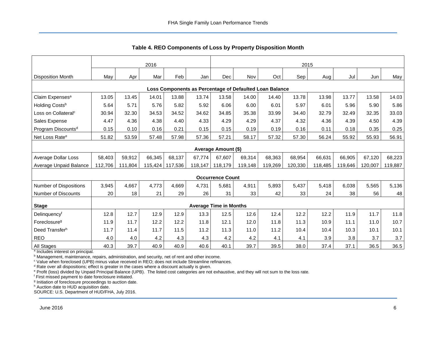<span id="page-6-0"></span>

|                                                         | 2016    |         |         |         | 2015    |                               |         |         |         |         |         |         |         |
|---------------------------------------------------------|---------|---------|---------|---------|---------|-------------------------------|---------|---------|---------|---------|---------|---------|---------|
| <b>Disposition Month</b>                                | May     | Apr     | Mar     | Feb     | Jan     | Dec                           | Nov     | Oct     | Sep !   | Aug     | Jul     | Jun     | May     |
| Loss Components as Percentage of Defaulted Loan Balance |         |         |         |         |         |                               |         |         |         |         |         |         |         |
| Claim Expenses <sup>a</sup>                             | 13.05   | 13.45   | 14.01   | 13.88   | 13.74   | 13.58                         | 14.00   | 14.40   | 13.78   | 13.98   | 13.77   | 13.58   | 14.03   |
| Holding Costs <sup>b</sup>                              | 5.64    | 5.71    | 5.76    | 5.82    | 5.92    | 6.06                          | 6.00    | 6.01    | 5.97    | 6.01    | 5.96    | 5.90    | 5.86    |
| Loss on Collateral <sup>c</sup>                         | 30.94   | 32.30   | 34.53   | 34.52   | 34.62   | 34.85                         | 35.38   | 33.99   | 34.40   | 32.79   | 32.49   | 32.35   | 33.03   |
| Sales Expense                                           | 4.47    | 4.36    | 4.38    | 4.40    | 4.33    | 4.29                          | 4.29    | 4.37    | 4.32    | 4.36    | 4.39    | 4.50    | 4.39    |
| Program Discounts <sup>d</sup>                          | 0.15    | 0.10    | 0.16    | 0.21    | 0.15    | 0.15                          | 0.19    | 0.19    | 0.16    | 0.11    | 0.18    | 0.35    | 0.25    |
| Net Loss Rate <sup>e</sup>                              | 51.82   | 53.59   | 57.48   | 57.98   | 57.36   | 57.21                         | 58.17   | 57.32   | 57.30   | 56.24   | 55.92   | 55.93   | 56.91   |
|                                                         |         |         |         |         |         | Average Amount (\$)           |         |         |         |         |         |         |         |
| <b>Average Dollar Loss</b>                              | 58,403  | 59,912  | 66.345  | 68,137  | 67,774  | 67,607                        | 69,314  | 68,363  | 68,954  | 66.631  | 66,905  | 67,120  | 68,223  |
| Average Unpaid Balance                                  | 112,706 | 111,804 | 115,424 | 117,536 | 118,147 | 118,179                       | 119,148 | 119,269 | 120,330 | 118,485 | 119,646 | 120,007 | 119,887 |
|                                                         |         |         |         |         |         | <b>Occurrence Count</b>       |         |         |         |         |         |         |         |
| <b>Number of Dispositions</b>                           | 3,945   | 4,667   | 4,773   | 4,669   | 4,731   | 5,681                         | 4,911   | 5,893   | 5,437   | 5,418   | 6,038   | 5,565   | 5,136   |
| Number of Discounts                                     | 20      | 18      | 21      | 29      | 26      | 31                            | 33      | 42      | 33      | 24      | 38      | 56      | 48      |
| <b>Stage</b>                                            |         |         |         |         |         | <b>Average Time in Months</b> |         |         |         |         |         |         |         |
| Delinquencyf                                            | 12.8    | 12.7    | 12.9    | 12.9    | 13.3    | 12.5                          | 12.6    | 12.4    | 12.2    | 12.2    | 11.9    | 11.7    | 11.8    |
| Foreclosure <sup>g</sup>                                | 11.9    | 11.7    | 12.2    | 12.2    | 11.8    | 12.1                          | 12.0    | 11.8    | 11.3    | 10.9    | 11.1    | 11.0    | 10.7    |
| Deed Transfer <sup>h</sup>                              | 11.7    | 11.4    | 11.7    | 11.5    | 11.2    | 11.3                          | 11.0    | 11.2    | 10.4    | 10.4    | 10.3    | 10.1    | 10.1    |
| <b>REO</b>                                              | 4.0     | 4.0     | 4.2     | 4.3     | 4.3     | 4.2                           | 4.2     | 4.1     | 4.1     | 3.9     | 3.8     | 3.7     | 3.7     |
| <b>All Stages</b>                                       | 40.3    | 39.7    | 40.9    | 40.9    | 40.6    | 40.1                          | 39.7    | 39.5    | 38.0    | 37.4    | 37.1    | 36.5    | 36.5    |

<span id="page-6-1"></span>**Table 4. REO Components of Loss by Property Disposition Month** 

<sup>a</sup> Includes interest on principal.

<sup>b</sup> Management, maintenance, repairs, administration, and security, net of rent and other income.

<sup>c</sup> Value when foreclosed (UPB) minus value received in REO; does not include Streamline refinances.

<sup>d</sup> Rate over all dispositions; effect is greater in the cases where a discount actually is given.

e Profit (loss) divided by Unpaid Principal Balance (UPB). The listed cost categories are not exhaustive, and they will not sum to the loss rate.

f First missed payment to date foreclosure initiated.

<sup>g</sup> Initiation of foreclosure proceedings to auction date.

h Auction date to HUD acquisition date.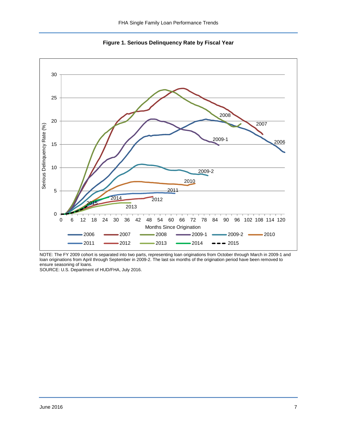<span id="page-7-0"></span>

<span id="page-7-1"></span>**Figure 1. Serious Delinquency Rate by Fiscal Year** 

NOTE: The FY 2009 cohort is separated into two parts, representing loan originations from October through March in 2009-1 and loan originations from April through September in 2009-2. The last six months of the origination period have been removed to ensure seasoning of loans.